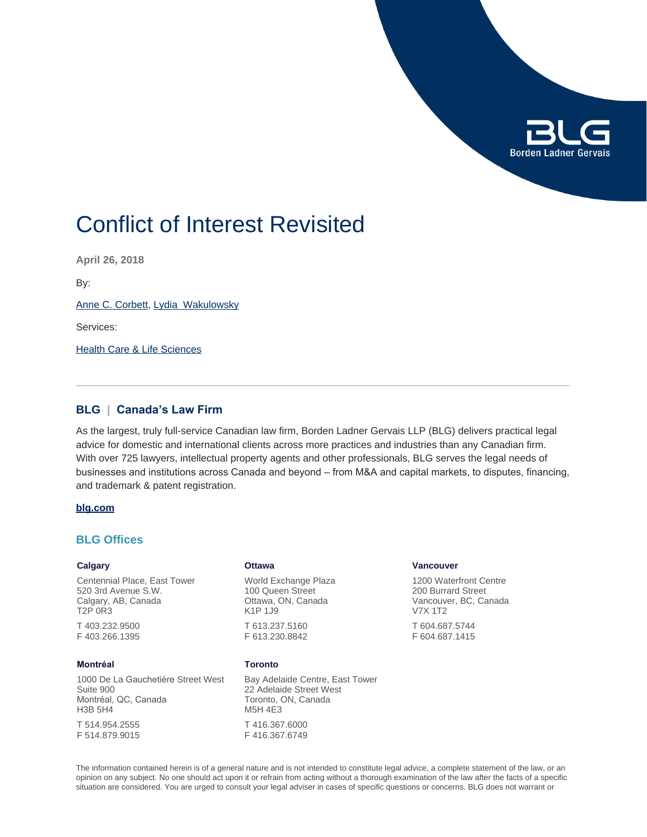

# Conflict of Interest Revisited

**April 26, 2018**

By:

[Anne C. Corbett](https://www.blg.com/en/people/c/corbett-anne), [Lydia Wakulowsky](https://www.blg.com/en/people/w/wakulowsky-lydia)

Services:

[Health Care & Life Sciences](https://www.blg.com/en/services/industries/health-care-life-sciences)

## **BLG | Canada's Law Firm**

As the largest, truly full-service Canadian law firm, Borden Ladner Gervais LLP (BLG) delivers practical legal advice for domestic and international clients across more practices and industries than any Canadian firm. With over 725 lawyers, intellectual property agents and other professionals, BLG serves the legal needs of businesses and institutions across Canada and beyond – from M&A and capital markets, to disputes, financing, and trademark & patent registration.

### **[blg.com](http://www.blg.com)**

## **BLG Offices**

#### **Calgary**

Centennial Place, East Tower 520 3rd Avenue S.W. Calgary, AB, Canada T2P 0R3

T 403.232.9500 F 403.266.1395

### **Montréal**

1000 De La Gauchetière Street West Suite 900 Montréal, QC, Canada H3B 5H4

T 514.954.2555 F 514.879.9015

#### **Ottawa**

World Exchange Plaza 100 Queen Street Ottawa, ON, Canada K1P 1J9 T 613.237.5160 F 613.230.8842

#### **Toronto**

F 416.367.6749

Bay Adelaide Centre, East Tower 22 Adelaide Street West Toronto, ON, Canada M5H 4E3 T 416.367.6000

**Vancouver**

1200 Waterfront Centre 200 Burrard Street Vancouver, BC, Canada V7X 1T2

T 604.687.5744 F 604.687.1415

The information contained herein is of a general nature and is not intended to constitute legal advice, a complete statement of the law, or an opinion on any subject. No one should act upon it or refrain from acting without a thorough examination of the law after the facts of a specific situation are considered. You are urged to consult your legal adviser in cases of specific questions or concerns. BLG does not warrant or